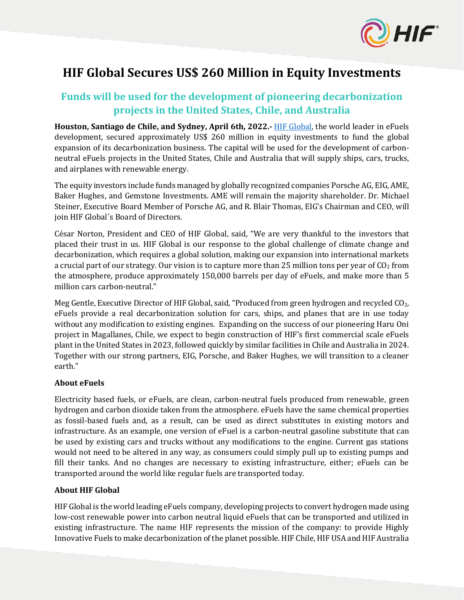

# **HIF Global Secures US\$ 260 Million in Equity Investments**

# **Funds will be used for the development of pioneering decarbonization projects in the United States, Chile, and Australia**

**Houston, Santiago de Chile, and Sydney, April 6th, 2022.-** [HIF Global,](https://www.hifglobal.com/) the world leader in eFuels development, secured approximately US\$ 260 million in equity investments to fund the global expansion of its decarbonization business. The capital will be used for the development of carbonneutral eFuels projects in the United States, Chile and Australia that will supply ships, cars, trucks, and airplanes with renewable energy.

The equity investors include funds managed by globally recognized companies Porsche AG, EIG, AME, Baker Hughes, and Gemstone Investments. AME will remain the majority shareholder. Dr. Michael Steiner, Executive Board Member of Porsche AG, and R. Blair Thomas, EIG's Chairman and CEO, will join HIF Global´s Board of Directors.

César Norton, President and CEO of HIF Global, said, "We are very thankful to the investors that placed their trust in us. HIF Global is our response to the global challenge of climate change and decarbonization, which requires a global solution, making our expansion into international markets a crucial part of our strategy. Our vision is to capture more than 25 million tons per year of  $CO<sub>2</sub>$  from the atmosphere, produce approximately 150,000 barrels per day of eFuels, and make more than 5 million cars carbon-neutral."

Meg Gentle, Executive Director of HIF Global, said, "Produced from green hydrogen and recycled CO<sub>2</sub>, eFuels provide a real decarbonization solution for cars, ships, and planes that are in use today without any modification to existing engines. Expanding on the success of our pioneering Haru Oni project in Magallanes, Chile, we expect to begin construction of HIF's first commercial scale eFuels plant in the United States in 2023, followed quickly by similar facilities in Chile and Australia in 2024. Together with our strong partners, EIG, Porsche, and Baker Hughes, we will transition to a cleaner earth."

# **About eFuels**

Electricity based fuels, or eFuels, are clean, carbon-neutral fuels produced from renewable, green hydrogen and carbon dioxide taken from the atmosphere. eFuels have the same chemical properties as fossil-based fuels and, as a result, can be used as direct substitutes in existing motors and infrastructure. As an example, one version of eFuel is a carbon-neutral gasoline substitute that can be used by existing cars and trucks without any modifications to the engine. Current gas stations would not need to be altered in any way, as consumers could simply pull up to existing pumps and fill their tanks. And no changes are necessary to existing infrastructure, either; eFuels can be transported around the world like regular fuels are transported today.

# **About HIF Global**

HIF Global is the world leading eFuels company, developing projects to convert hydrogen made using low-cost renewable power into carbon neutral liquid eFuels that can be transported and utilized in existing infrastructure. The name HIF represents the mission of the company: to provide Highly Innovative Fuels to make decarbonization of the planet possible. HIF Chile, HIF USA and HIF Australia